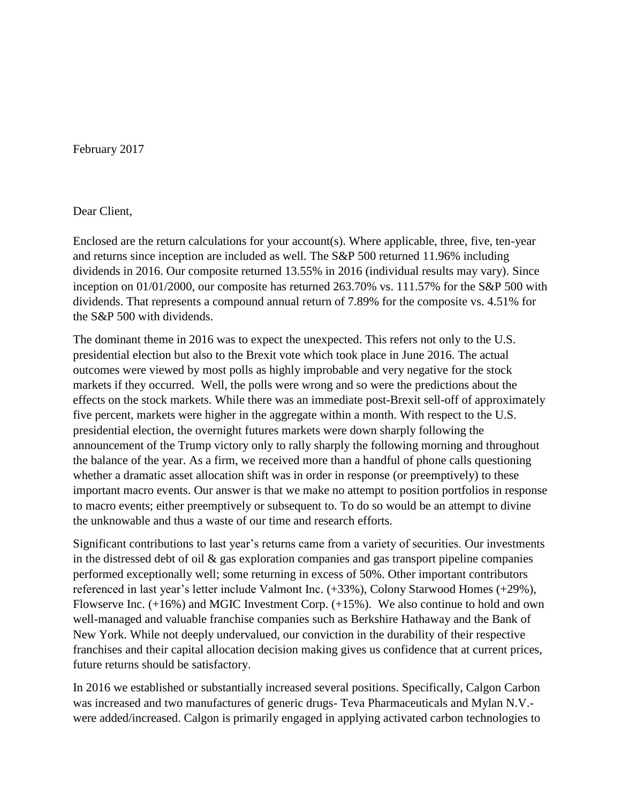February 2017

## Dear Client,

Enclosed are the return calculations for your account(s). Where applicable, three, five, ten-year and returns since inception are included as well. The S&P 500 returned 11.96% including dividends in 2016. Our composite returned 13.55% in 2016 (individual results may vary). Since inception on 01/01/2000, our composite has returned 263.70% vs. 111.57% for the S&P 500 with dividends. That represents a compound annual return of 7.89% for the composite vs. 4.51% for the S&P 500 with dividends.

The dominant theme in 2016 was to expect the unexpected. This refers not only to the U.S. presidential election but also to the Brexit vote which took place in June 2016. The actual outcomes were viewed by most polls as highly improbable and very negative for the stock markets if they occurred. Well, the polls were wrong and so were the predictions about the effects on the stock markets. While there was an immediate post-Brexit sell-off of approximately five percent, markets were higher in the aggregate within a month. With respect to the U.S. presidential election, the overnight futures markets were down sharply following the announcement of the Trump victory only to rally sharply the following morning and throughout the balance of the year. As a firm, we received more than a handful of phone calls questioning whether a dramatic asset allocation shift was in order in response (or preemptively) to these important macro events. Our answer is that we make no attempt to position portfolios in response to macro events; either preemptively or subsequent to. To do so would be an attempt to divine the unknowable and thus a waste of our time and research efforts.

Significant contributions to last year's returns came from a variety of securities. Our investments in the distressed debt of oil & gas exploration companies and gas transport pipeline companies performed exceptionally well; some returning in excess of 50%. Other important contributors referenced in last year's letter include Valmont Inc. (+33%), Colony Starwood Homes (+29%), Flowserve Inc. (+16%) and MGIC Investment Corp. (+15%). We also continue to hold and own well-managed and valuable franchise companies such as Berkshire Hathaway and the Bank of New York. While not deeply undervalued, our conviction in the durability of their respective franchises and their capital allocation decision making gives us confidence that at current prices, future returns should be satisfactory.

In 2016 we established or substantially increased several positions. Specifically, Calgon Carbon was increased and two manufactures of generic drugs- Teva Pharmaceuticals and Mylan N.V. were added/increased. Calgon is primarily engaged in applying activated carbon technologies to